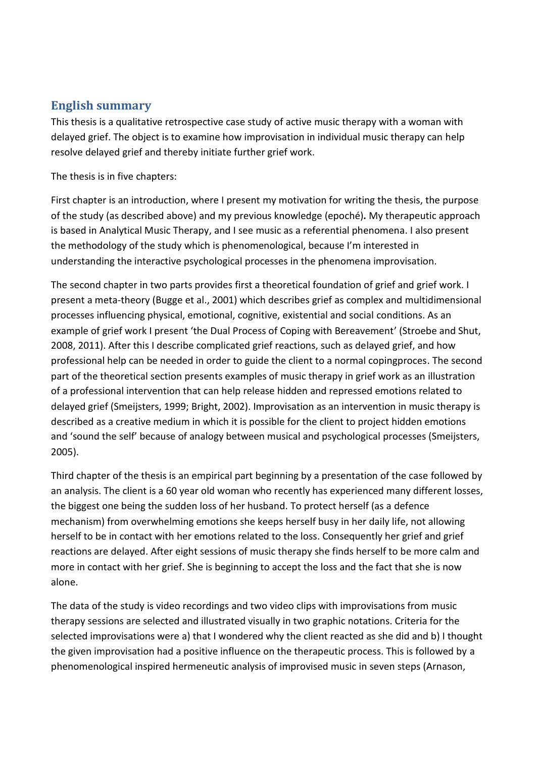## **English summary**

This thesis is a qualitative retrospective case study of active music therapy with a woman with delayed grief. The object is to examine how improvisation in individual music therapy can help resolve delayed grief and thereby initiate further grief work.

The thesis is in five chapters:

First chapter is an introduction, where I present my motivation for writing the thesis, the purpose of the study (as described above) and my previous knowledge (epoché)*.* My therapeutic approach is based in Analytical Music Therapy, and I see music as a referential phenomena. I also present the methodology of the study which is phenomenological, because I'm interested in understanding the interactive psychological processes in the phenomena improvisation.

The second chapter in two parts provides first a theoretical foundation of grief and grief work. I present a meta-theory (Bugge et al., 2001) which describes grief as complex and multidimensional processes influencing physical, emotional, cognitive, existential and social conditions. As an example of grief work I present 'the Dual Process of Coping with Bereavement' (Stroebe and Shut, 2008, 2011). After this I describe complicated grief reactions, such as delayed grief, and how professional help can be needed in order to guide the client to a normal copingproces. The second part of the theoretical section presents examples of music therapy in grief work as an illustration of a professional intervention that can help release hidden and repressed emotions related to delayed grief (Smeijsters, 1999; Bright, 2002). Improvisation as an intervention in music therapy is described as a creative medium in which it is possible for the client to project hidden emotions and 'sound the self' because of analogy between musical and psychological processes (Smeijsters, 2005).

Third chapter of the thesis is an empirical part beginning by a presentation of the case followed by an analysis. The client is a 60 year old woman who recently has experienced many different losses, the biggest one being the sudden loss of her husband. To protect herself (as a defence mechanism) from overwhelming emotions she keeps herself busy in her daily life, not allowing herself to be in contact with her emotions related to the loss. Consequently her grief and grief reactions are delayed. After eight sessions of music therapy she finds herself to be more calm and more in contact with her grief. She is beginning to accept the loss and the fact that she is now alone.

The data of the study is video recordings and two video clips with improvisations from music therapy sessions are selected and illustrated visually in two graphic notations. Criteria for the selected improvisations were a) that I wondered why the client reacted as she did and b) I thought the given improvisation had a positive influence on the therapeutic process. This is followed by a phenomenological inspired hermeneutic analysis of improvised music in seven steps (Arnason,